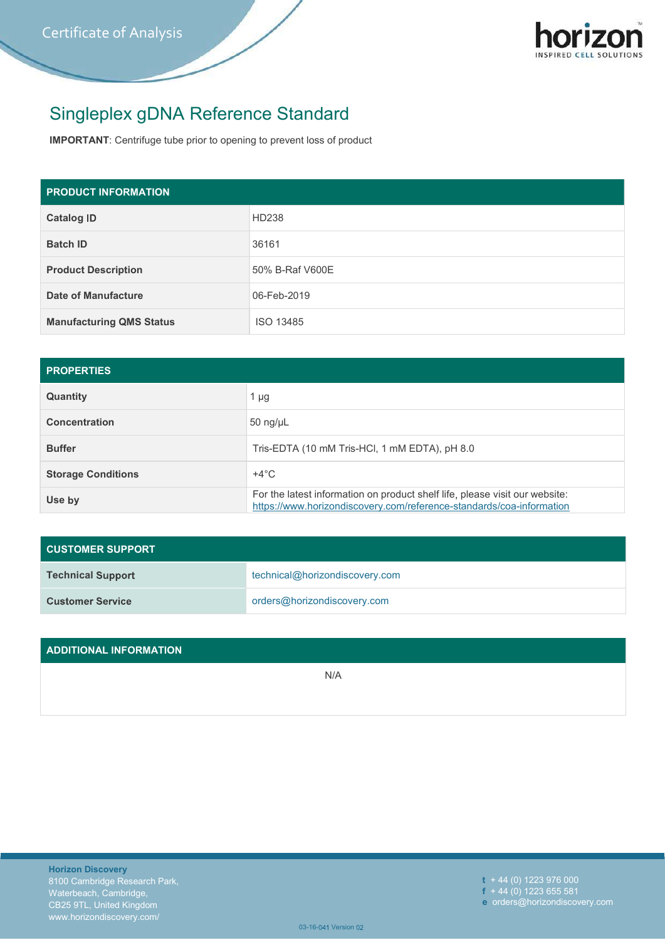

## Singleplex gDNA Reference Standard

IMPORTANT: Centrifuge tube prior to opening to prevent loss of product

| <b>PRODUCT INFORMATION</b>      |                                                                                                                                                     |  |  |  |  |
|---------------------------------|-----------------------------------------------------------------------------------------------------------------------------------------------------|--|--|--|--|
| <b>Catalog ID</b>               | HD238                                                                                                                                               |  |  |  |  |
| <b>Batch ID</b>                 | 36161                                                                                                                                               |  |  |  |  |
| <b>Product Description</b>      | 50% B-Raf V600E                                                                                                                                     |  |  |  |  |
| <b>Date of Manufacture</b>      | 06-Feb-2019                                                                                                                                         |  |  |  |  |
| <b>Manufacturing QMS Status</b> | ISO 13485                                                                                                                                           |  |  |  |  |
|                                 |                                                                                                                                                     |  |  |  |  |
| <b>PROPERTIES</b>               |                                                                                                                                                     |  |  |  |  |
| Quantity                        | $1 \mu g$                                                                                                                                           |  |  |  |  |
| <b>Concentration</b>            | 50 ng/µL                                                                                                                                            |  |  |  |  |
| <b>Buffer</b>                   | Tris-EDTA (10 mM Tris-HCl, 1 mM EDTA), pH 8.0                                                                                                       |  |  |  |  |
| <b>Storage Conditions</b>       | $+4^{\circ}$ C                                                                                                                                      |  |  |  |  |
| Use by                          | For the latest information on product shelf life, please visit our website:<br>https://www.horizondiscovery.com/reference-standards/coa-information |  |  |  |  |

| <b>Catalog ID</b>                            | HD238                                                                                                                                               |  |  |  |  |  |  |
|----------------------------------------------|-----------------------------------------------------------------------------------------------------------------------------------------------------|--|--|--|--|--|--|
| <b>Batch ID</b>                              | 36161                                                                                                                                               |  |  |  |  |  |  |
| <b>Product Description</b>                   | 50% B-Raf V600E                                                                                                                                     |  |  |  |  |  |  |
| <b>Date of Manufacture</b>                   | 06-Feb-2019                                                                                                                                         |  |  |  |  |  |  |
| <b>Manufacturing QMS Status</b><br>ISO 13485 |                                                                                                                                                     |  |  |  |  |  |  |
|                                              |                                                                                                                                                     |  |  |  |  |  |  |
| <b>PROPERTIES</b>                            |                                                                                                                                                     |  |  |  |  |  |  |
| Quantity                                     | $1 \mu g$                                                                                                                                           |  |  |  |  |  |  |
| <b>Concentration</b>                         | $50$ ng/ $\mu$ L                                                                                                                                    |  |  |  |  |  |  |
| <b>Buffer</b>                                | Tris-EDTA (10 mM Tris-HCl, 1 mM EDTA), pH 8.0                                                                                                       |  |  |  |  |  |  |
| <b>Storage Conditions</b>                    | $+4^{\circ}$ C                                                                                                                                      |  |  |  |  |  |  |
| Use by                                       | For the latest information on product shelf life, please visit our website:<br>https://www.horizondiscovery.com/reference-standards/coa-information |  |  |  |  |  |  |
|                                              |                                                                                                                                                     |  |  |  |  |  |  |
| <b>CUSTOMER SUPPORT</b>                      |                                                                                                                                                     |  |  |  |  |  |  |
| <b>Technical Support</b>                     | technical@horizondiscovery.com                                                                                                                      |  |  |  |  |  |  |
| <b>Customer Service</b>                      | orders@horizondiscovery.com                                                                                                                         |  |  |  |  |  |  |
|                                              |                                                                                                                                                     |  |  |  |  |  |  |
| <b>ADDITIONAL INFORMATION</b>                |                                                                                                                                                     |  |  |  |  |  |  |
|                                              | N/A                                                                                                                                                 |  |  |  |  |  |  |
|                                              |                                                                                                                                                     |  |  |  |  |  |  |
|                                              |                                                                                                                                                     |  |  |  |  |  |  |

| <b>CUSTOMER SUPPORT</b>  |                                |
|--------------------------|--------------------------------|
| <b>Technical Support</b> | technical@horizondiscovery.com |
| <b>Customer Service</b>  | orders@horizondiscovery.com    |

| <b>Customer Service</b>                                                                                                                      | orders@horizondiscovery.com |                                                                                       |  |  |  |  |
|----------------------------------------------------------------------------------------------------------------------------------------------|-----------------------------|---------------------------------------------------------------------------------------|--|--|--|--|
|                                                                                                                                              |                             |                                                                                       |  |  |  |  |
| <b>ADDITIONAL INFORMATION</b>                                                                                                                |                             |                                                                                       |  |  |  |  |
|                                                                                                                                              | N/A                         |                                                                                       |  |  |  |  |
|                                                                                                                                              |                             |                                                                                       |  |  |  |  |
|                                                                                                                                              |                             |                                                                                       |  |  |  |  |
|                                                                                                                                              |                             |                                                                                       |  |  |  |  |
|                                                                                                                                              |                             |                                                                                       |  |  |  |  |
|                                                                                                                                              |                             |                                                                                       |  |  |  |  |
|                                                                                                                                              |                             |                                                                                       |  |  |  |  |
| <b>Horizon Discovery</b><br>8100 Cambridge Research Park,<br>Waterbeach, Cambridge,<br>CB25 9TL, United Kingdom<br>www.horizondiscovery.com/ | 03-16-041 Version 02        | $t + 44(0)$ 1223 976 000<br>$f + 44(0)$ 1223 655 581<br>e orders@horizondiscovery.com |  |  |  |  |